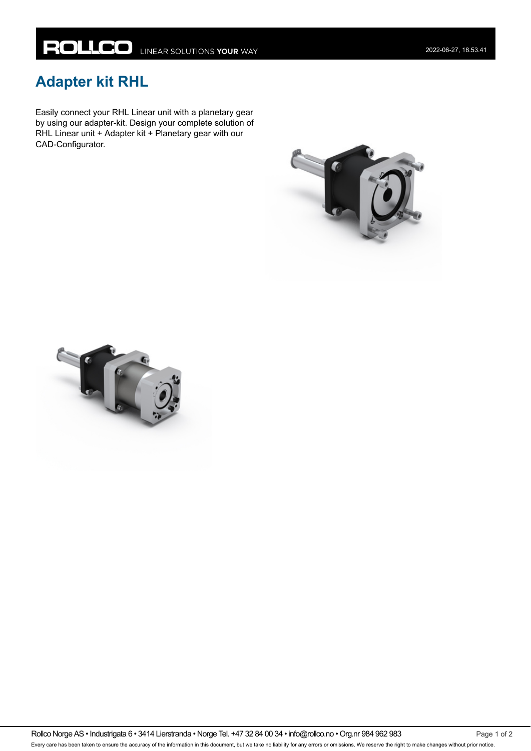## **Adapter kit RHL**

Easily connect your RHL Linear unit with a planetary gear by using our adapter-kit. Design your complete solution of RHL Linear unit + Adapter kit + Planetary gear with our CAD-Configurator.





Rollco Norge AS • Industrigata 6 • 3414 Lierstranda • Norge Tel. +47 32 84 00 34 • info@rollco.no • Org.nr 984 962 983 Page 1 of 2 Every care has been taken to ensure the accuracy of the information in this document, but we take no liability for any errors or omissions. We reserve the right to make changes without prior notice.